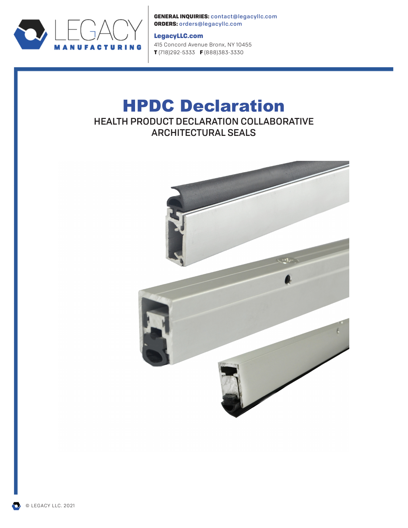

GENERAL INQUIRIES: contact@legacyllc.com ORDERS: orders@legacyllc.com

## LegacyLLC.com

415 Concord Avenue Bronx, NY 10455 T (718) 292-5333 F (888) 383-3330

# HPDC Declaration HEALTH PRODUCT DECLARATION COLLABORATIVE ARCHITECTURAL SEALS



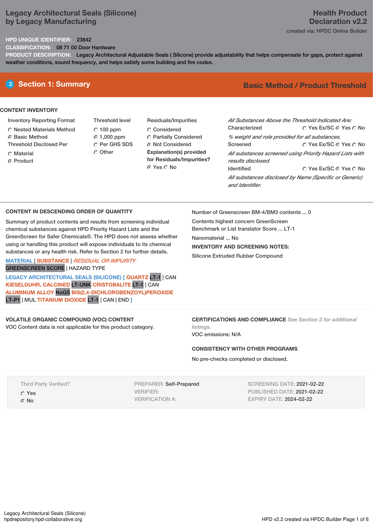# **Legacy Architectural Seals (Silicone) by Legacy Manufacturing**

# **Health Product Declaration v2.2** created via: HPDC Online Builder

## **HPD UNIQUE IDENTIFIER:** 23842

**CLASSIFICATION:** 08 71 00 Door Hardware

**PRODUCT DESCRIPTION:** Legacy Architectural Adjustable Seals ( Silicone) provide adjustability that helps compensate for gaps, protect against weather conditions, sound frequency, and helps satisfy some building and fire codes.

# **CONTENT INVENTORY**

- Inventory Reporting Format
- Nested Materials Method
- **6** Basic Method
- Threshold Disclosed Per
- C Material ⊙ Product
- Threshold level  $C$  100 ppm 1,000 ppm C Per GHS SDS Other
- Residuals/Impurities Considered Partially Considered **C** Not Considered **Explanation(s) provided for Residuals/Impurities?** ⊙ Yes O No

# **E** Section 1: Summary **Basic** Method / Product Threshold

| All Substances Above the Threshold Indicated Are: |                                                          |
|---------------------------------------------------|----------------------------------------------------------|
| Characterized                                     | ∩ Yes Ex/SC ∩ Yes ∩ No                                   |
| % weight and role provided for all substances.    |                                                          |
| Screened                                          | ∩ Yes Ex/SC ⊙ Yes ∩ No                                   |
| results disclosed.                                | All substances screened using Priority Hazard Lists with |
| <b>Identified</b>                                 | ○ Yes Ex/SC ⊙ Yes ○ No                                   |
| and Identifier.                                   | All substances disclosed by Name (Specific or Generic)   |

### **CONTENT IN DESCENDING ORDER OF QUANTITY**

Summary of product contents and results from screening individual chemical substances against HPD Priority Hazard Lists and the GreenScreen for Safer Chemicals®. The HPD does not assess whether using or handling this product will expose individuals to its chemical substances or any health risk. Refer to Section 2 for further details.

**MATERIAL** | **SUBSTANCE** | *RESIDUAL OR IMPURITY* GREENSCREEN SCORE | HAZARD TYPE

**LEGACY ARCHITECTURAL SEALS (SILICONE) [ QUARTZ** LT-1 | CAN **KIESELGUHR, CALCINED** LT-UNK **CRISTOBALITE** LT-1 | CAN **ALUMINUM ALLOY** NoGS **BIS(2,4-DICHLOROBENZOYL)PEROXIDE** LT-P1 | MUL **TITANIUM DIOXIDE** LT-1 | CAN | END **]**

## **VOLATILE ORGANIC COMPOUND (VOC) CONTENT**

VOC Content data is not applicable for this product category.

Number of Greenscreen BM-4/BM3 contents ... 0

Contents highest concern GreenScreen Benchmark or List translator Score ... LT-1 Nanomaterial ... No **INVENTORY AND SCREENING NOTES:** Silicone Extruded Rubber Compound

**CERTIFICATIONS AND COMPLIANCE** *See Section 3 for additional listings.* VOC emissions: N/A

**CONSISTENCY WITH OTHER PROGRAMS**

No pre-checks completed or disclosed.

Third Party Verified? Yes ⊙ No

PREPARER: Self-Prepared VERIFIER: VERIFICATION #:

SCREENING DATE: 2021-02-22 PUBLISHED DATE: 2021-02-22 EXPIRY DATE: 2024-02-22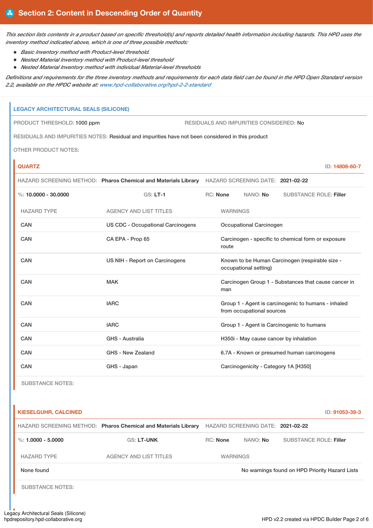This section lists contents in a product based on specific threshold(s) and reports detailed health information including hazards. This HPD uses the *inventory method indicated above, which is one of three possible methods:*

- *Basic Inventory method with Product-level threshold.*
- *Nested Material Inventory method with Product-level threshold*
- *Nested Material Inventory method with individual Material-level thresholds*

Definitions and requirements for the three inventory methods and requirements for each data field can be found in the HPD Open Standard version *2.2, available on the HPDC website at: [www.hpd-collaborative.org/hpd-2-2-standard](https://www.hpd-collaborative.org/hpd-2-2-standard)*

# **LEGACY ARCHITECTURAL SEALS (SILICONE)**

PRODUCT THRESHOLD: 1000 ppm RESIDUALS AND IMPURITIES CONSIDERED: No

RESIDUALS AND IMPURITIES NOTES: Residual and impurities have not been considered in this product

OTHER PRODUCT NOTES:

**QUARTZ** ID: **14808-60-7**

|                           | HAZARD SCREENING METHOD: Pharos Chemical and Materials Library HAZARD SCREENING DATE: 2021-02-22 |                                      |                                                                                  |          |                                            |
|---------------------------|--------------------------------------------------------------------------------------------------|--------------------------------------|----------------------------------------------------------------------------------|----------|--------------------------------------------|
| %: $10.0000 - 30.0000$    | <b>GS: LT-1</b>                                                                                  |                                      | RC: None                                                                         | NANO: No | <b>SUBSTANCE ROLE: Filler</b>              |
| <b>HAZARD TYPE</b>        | <b>AGENCY AND LIST TITLES</b>                                                                    |                                      | <b>WARNINGS</b>                                                                  |          |                                            |
| <b>CAN</b>                | <b>US CDC - Occupational Carcinogens</b>                                                         |                                      | Occupational Carcinogen                                                          |          |                                            |
| <b>CAN</b>                | CA EPA - Prop 65                                                                                 |                                      | Carcinogen - specific to chemical form or exposure<br>route                      |          |                                            |
| CAN                       | US NIH - Report on Carcinogens                                                                   |                                      | Known to be Human Carcinogen (respirable size -<br>occupational setting)         |          |                                            |
| CAN                       | <b>MAK</b>                                                                                       |                                      | Carcinogen Group 1 - Substances that cause cancer in<br>man                      |          |                                            |
| CAN                       | <b>IARC</b>                                                                                      |                                      | Group 1 - Agent is carcinogenic to humans - inhaled<br>from occupational sources |          |                                            |
| CAN                       | <b>IARC</b>                                                                                      |                                      |                                                                                  |          | Group 1 - Agent is Carcinogenic to humans  |
| <b>CAN</b>                | GHS - Australia                                                                                  |                                      | H350i - May cause cancer by inhalation                                           |          |                                            |
| <b>CAN</b>                | GHS - New Zealand                                                                                |                                      |                                                                                  |          | 6.7A - Known or presumed human carcinogens |
| <b>CAN</b><br>GHS - Japan |                                                                                                  | Carcinogenicity - Category 1A [H350] |                                                                                  |          |                                            |

SUBSTANCE NOTES:

| <b>KIESELGUHR, CALCINED</b> | ID: 91053-39-3                                                 |                 |                                   |                                                |
|-----------------------------|----------------------------------------------------------------|-----------------|-----------------------------------|------------------------------------------------|
|                             | HAZARD SCREENING METHOD: Pharos Chemical and Materials Library |                 | HAZARD SCREENING DATE: 2021-02-22 |                                                |
| %: $1.0000 - 5.0000$        | <b>GS: LT-UNK</b>                                              | <b>RC:</b> None | NANO: <b>No</b>                   | <b>SUBSTANCE ROLE: Filler</b>                  |
| <b>HAZARD TYPE</b>          | <b>AGENCY AND LIST TITLES</b>                                  | <b>WARNINGS</b> |                                   |                                                |
| None found                  |                                                                |                 |                                   | No warnings found on HPD Priority Hazard Lists |
| <b>SUBSTANCE NOTES:</b>     |                                                                |                 |                                   |                                                |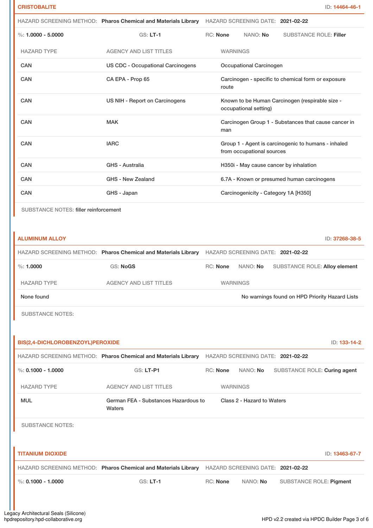|                                              |                                          | HAZARD SCREENING METHOD: Pharos Chemical and Materials Library HAZARD SCREENING DATE: 2021-02-22 |
|----------------------------------------------|------------------------------------------|--------------------------------------------------------------------------------------------------|
| $\%: 1.0000 - 5.0000$                        | <b>GS: LT-1</b>                          | RC: None<br>NANO: No<br><b>SUBSTANCE ROLE: Filler</b>                                            |
| <b>HAZARD TYPE</b>                           | <b>AGENCY AND LIST TITLES</b>            | <b>WARNINGS</b>                                                                                  |
| <b>CAN</b>                                   | <b>US CDC - Occupational Carcinogens</b> | <b>Occupational Carcinogen</b>                                                                   |
| <b>CAN</b>                                   | CA EPA - Prop 65                         | Carcinogen - specific to chemical form or exposure<br>route                                      |
| <b>CAN</b>                                   | US NIH - Report on Carcinogens           | Known to be Human Carcinogen (respirable size -<br>occupational setting)                         |
| <b>CAN</b>                                   | <b>MAK</b>                               | Carcinogen Group 1 - Substances that cause cancer in<br>man                                      |
| <b>CAN</b>                                   | <b>IARC</b>                              | Group 1 - Agent is carcinogenic to humans - inhaled<br>from occupational sources                 |
| CAN                                          | <b>GHS - Australia</b>                   | H350i - May cause cancer by inhalation                                                           |
| <b>CAN</b>                                   | GHS - New Zealand                        | 6.7A - Known or presumed human carcinogens                                                       |
| CAN                                          | GHS - Japan                              | Carcinogenicity - Category 1A [H350]                                                             |
| <b>SUBSTANCE NOTES: filler reinforcement</b> |                                          |                                                                                                  |
|                                              |                                          |                                                                                                  |
| <b>ALUMINUM ALLOY</b>                        |                                          | ID: 37268-38-5                                                                                   |
|                                              |                                          | HAZARD SCREENING METHOD: Pharos Chemical and Materials Library HAZARD SCREENING DATE: 2021-02-22 |
| $\%: 1.0000$                                 | <b>GS: NoGS</b>                          | RC: None<br>NANO: No<br>SUBSTANCE ROLE: Alloy element                                            |
| <b>HAZARD TYPE</b>                           | <b>AGENCY AND LIST TITLES</b>            | <b>WARNINGS</b>                                                                                  |

None found Now arrings found on HPD Priority Hazard Lists

SUBSTANCE NOTES:

| BIS(2,4-DICHLOROBENZOYL)PEROXIDE | ID: 133-14-2                                                   |          |                                   |                                |                |
|----------------------------------|----------------------------------------------------------------|----------|-----------------------------------|--------------------------------|----------------|
|                                  | HAZARD SCREENING METHOD: Pharos Chemical and Materials Library |          | HAZARD SCREENING DATE: 2021-02-22 |                                |                |
| %: $0.1000 - 1.0000$             | GS: LT-P1                                                      | RC: None | NANO: No                          | SUBSTANCE ROLE: Curing agent   |                |
| <b>HAZARD TYPE</b>               | <b>AGENCY AND LIST TITLES</b>                                  |          | <b>WARNINGS</b>                   |                                |                |
| <b>MUL</b>                       | German FEA - Substances Hazardous to<br>Waters                 |          | Class 2 - Hazard to Waters        |                                |                |
| <b>SUBSTANCE NOTES:</b>          |                                                                |          |                                   |                                |                |
|                                  |                                                                |          |                                   |                                |                |
| <b>TITANIUM DIOXIDE</b>          |                                                                |          |                                   |                                | ID: 13463-67-7 |
|                                  | HAZARD SCREENING METHOD: Pharos Chemical and Materials Library |          | HAZARD SCREENING DATE: 2021-02-22 |                                |                |
| %: $0.1000 - 1.0000$             | $GS: LT-1$                                                     | RC: None | NANO: No                          | <b>SUBSTANCE ROLE: Pigment</b> |                |
|                                  |                                                                |          |                                   |                                |                |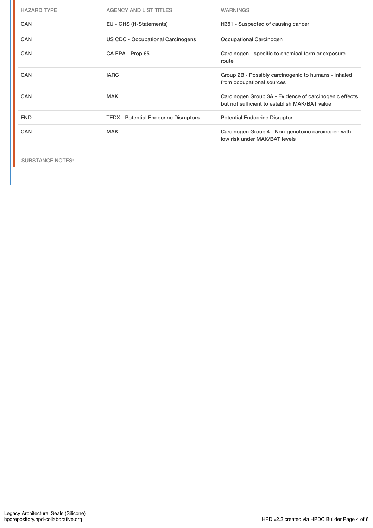| <b>HAZARD TYPE</b> | <b>AGENCY AND LIST TITLES</b>                | <b>WARNINGS</b>                                                                                         |
|--------------------|----------------------------------------------|---------------------------------------------------------------------------------------------------------|
| <b>CAN</b>         | EU - GHS (H-Statements)                      | H351 - Suspected of causing cancer                                                                      |
| <b>CAN</b>         | US CDC - Occupational Carcinogens            | Occupational Carcinogen                                                                                 |
| <b>CAN</b>         | CA EPA - Prop 65                             | Carcinogen - specific to chemical form or exposure<br>route                                             |
| <b>CAN</b>         | <b>IARC</b>                                  | Group 2B - Possibly carcinogenic to humans - inhaled<br>from occupational sources                       |
| <b>CAN</b>         | <b>MAK</b>                                   | Carcinogen Group 3A - Evidence of carcinogenic effects<br>but not sufficient to establish MAK/BAT value |
| <b>END</b>         | <b>TEDX</b> - Potential Endocrine Disruptors | <b>Potential Endocrine Disruptor</b>                                                                    |
| CAN                | <b>MAK</b>                                   | Carcinogen Group 4 - Non-genotoxic carcinogen with<br>low risk under MAK/BAT levels                     |

SUBSTANCE NOTES: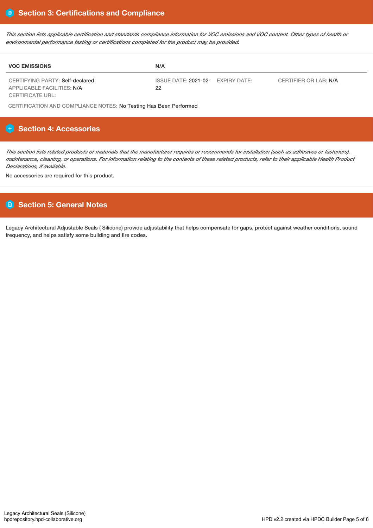This section lists applicable certification and standards compliance information for VOC emissions and VOC content. Other types of health or *environmental performance testing or certifications completed for the product may be provided.*

| <b>VOC EMISSIONS</b>                                          | N/A                                                              |  |
|---------------------------------------------------------------|------------------------------------------------------------------|--|
| CERTIFYING PARTY: Self-declared<br>APPLICABLE FACILITIES: N/A | ISSUE DATE: 2021-02- EXPIRY DATE:<br>CERTIFIER OR LAB: N/A<br>22 |  |
| CERTIFICATE URL:                                              |                                                                  |  |

CERTIFICATION AND COMPLIANCE NOTES: No Testing Has Been Performed

# **Section 4: Accessories**

This section lists related products or materials that the manufacturer requires or recommends for installation (such as adhesives or fasteners), maintenance, cleaning, or operations. For information relating to the contents of these related products, refer to their applicable Health Product *Declarations, if available.*

No accessories are required for this product.

# **Section 5: General Notes**

Legacy Architectural Adjustable Seals ( Silicone) provide adjustability that helps compensate for gaps, protect against weather conditions, sound frequency, and helps satisfy some building and fire codes.